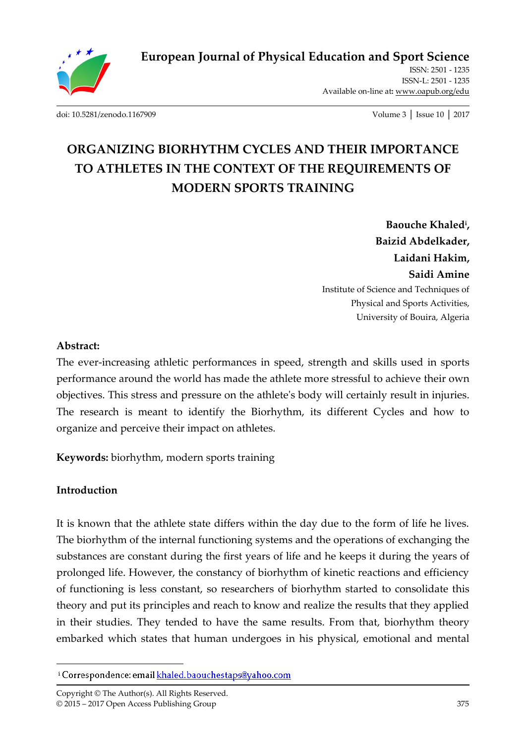

**European Journal of Physical Education and Sport Science**

ISSN: 2501 - 1235 ISSN-L: 2501 - 1235 Available on-line at**:** www.oapub.org/edu

[doi: 10.5281/zenodo.1167909](http://dx.doi.org/10.5281/zenodo.1167909) Volume 3 │ Issue 10 │ 2017

# **ORGANIZING BIORHYTHM CYCLES AND THEIR IMPORTANCE TO ATHLETES IN THE CONTEXT OF THE REQUIREMENTS OF MODERN SPORTS TRAINING**

**Baouche Khaled<sup>i</sup> , Baizid Abdelkader, Laidani Hakim, Saidi Amine** Institute of Science and Techniques of Physical and Sports Activities, University of Bouira, Algeria

#### **Abstract:**

The ever-increasing athletic performances in speed, strength and skills used in sports performance around the world has made the athlete more stressful to achieve their own objectives. This stress and pressure on the athlete's body will certainly result in injuries. The research is meant to identify the Biorhythm, its different Cycles and how to organize and perceive their impact on athletes.

**Keywords:** biorhythm, modern sports training

#### **Introduction**

 $\overline{a}$ 

It is known that the athlete state differs within the day due to the form of life he lives. The biorhythm of the internal functioning systems and the operations of exchanging the substances are constant during the first years of life and he keeps it during the years of prolonged life. However, the constancy of biorhythm of kinetic reactions and efficiency of functioning is less constant, so researchers of biorhythm started to consolidate this theory and put its principles and reach to know and realize the results that they applied in their studies. They tended to have the same results. From that, biorhythm theory embarked which states that human undergoes in his physical, emotional and mental

<sup>&</sup>lt;sup>i</sup> Correspondence: email khaled.baouchestaps@yahoo.com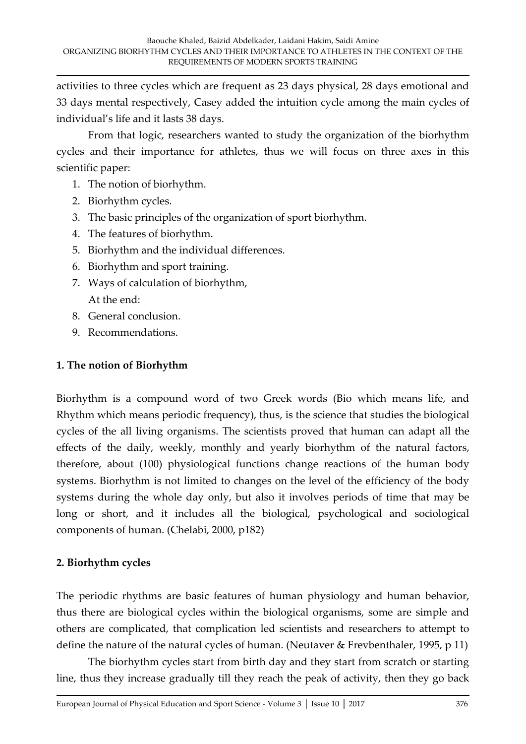activities to three cycles which are frequent as 23 days physical, 28 days emotional and 33 days mental respectively, Casey added the intuition cycle among the main cycles of individual's life and it lasts 38 days.

 From that logic, researchers wanted to study the organization of the biorhythm cycles and their importance for athletes, thus we will focus on three axes in this scientific paper:

- 1. The notion of biorhythm.
- 2. Biorhythm cycles.
- 3. The basic principles of the organization of sport biorhythm.
- 4. The features of biorhythm.
- 5. Biorhythm and the individual differences.
- 6. Biorhythm and sport training.
- 7. Ways of calculation of biorhythm, At the end:
- 8. General conclusion.
- 9. Recommendations.

## **1. The notion of Biorhythm**

Biorhythm is a compound word of two Greek words (Bio which means life, and Rhythm which means periodic frequency), thus, is the science that studies the biological cycles of the all living organisms. The scientists proved that human can adapt all the effects of the daily, weekly, monthly and yearly biorhythm of the natural factors, therefore, about (100) physiological functions change reactions of the human body systems. Biorhythm is not limited to changes on the level of the efficiency of the body systems during the whole day only, but also it involves periods of time that may be long or short, and it includes all the biological, psychological and sociological components of human. (Chelabi, 2000, p182)

## **2. Biorhythm cycles**

The periodic rhythms are basic features of human physiology and human behavior, thus there are biological cycles within the biological organisms, some are simple and others are complicated, that complication led scientists and researchers to attempt to define the nature of the natural cycles of human. (Neutaver & Frevbenthaler, 1995, p 11)

The biorhythm cycles start from birth day and they start from scratch or starting line, thus they increase gradually till they reach the peak of activity, then they go back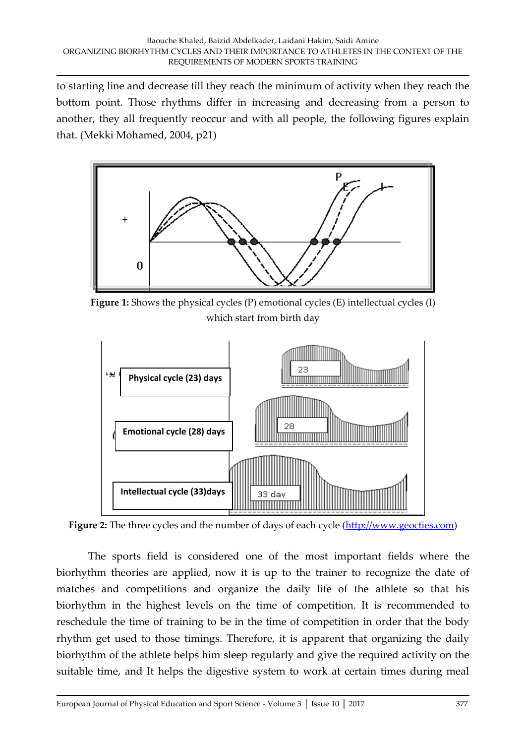to starting line and decrease till they reach the minimum of activity when they reach the bottom point. Those rhythms differ in increasing and decreasing from a person to another, they all frequently reoccur and with all people, the following figures explain that. (Mekki Mohamed, 2004, p21)



**Figure 1:** Shows the physical cycles (P) emotional cycles (E) intellectual cycles (I) which start from birth day



Figure 2: The three cycles and the number of days of each cycle [\(http://www.geocties.com\)](http://www.geocties.com/)

The sports field is considered one of the most important fields where the biorhythm theories are applied, now it is up to the trainer to recognize the date of matches and competitions and organize the daily life of the athlete so that his biorhythm in the highest levels on the time of competition. It is recommended to reschedule the time of training to be in the time of competition in order that the body rhythm get used to those timings. Therefore, it is apparent that organizing the daily biorhythm of the athlete helps him sleep regularly and give the required activity on the suitable time, and It helps the digestive system to work at certain times during meal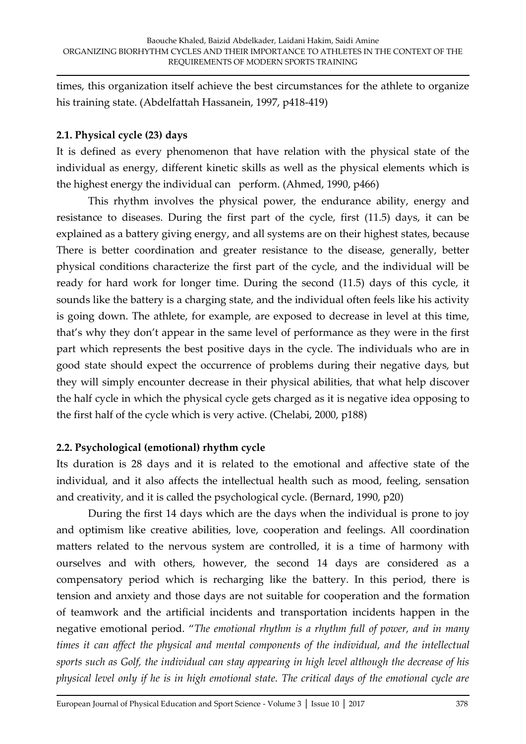times, this organization itself achieve the best circumstances for the athlete to organize his training state. (Abdelfattah Hassanein, 1997, p418-419)

## **2.1. Physical cycle (23) days**

It is defined as every phenomenon that have relation with the physical state of the individual as energy, different kinetic skills as well as the physical elements which is the highest energy the individual can perform. (Ahmed, 1990, p466)

This rhythm involves the physical power, the endurance ability, energy and resistance to diseases. During the first part of the cycle, first (11.5) days, it can be explained as a battery giving energy, and all systems are on their highest states, because There is better coordination and greater resistance to the disease, generally, better physical conditions characterize the first part of the cycle, and the individual will be ready for hard work for longer time. During the second (11.5) days of this cycle, it sounds like the battery is a charging state, and the individual often feels like his activity is going down. The athlete, for example, are exposed to decrease in level at this time, that's why they don't appear in the same level of performance as they were in the first part which represents the best positive days in the cycle. The individuals who are in good state should expect the occurrence of problems during their negative days, but they will simply encounter decrease in their physical abilities, that what help discover the half cycle in which the physical cycle gets charged as it is negative idea opposing to the first half of the cycle which is very active. (Chelabi, 2000, p188)

# **2.2. Psychological (emotional) rhythm cycle**

Its duration is 28 days and it is related to the emotional and affective state of the individual, and it also affects the intellectual health such as mood, feeling, sensation and creativity, and it is called the psychological cycle. (Bernard, 1990, p20)

During the first 14 days which are the days when the individual is prone to joy and optimism like creative abilities, love, cooperation and feelings. All coordination matters related to the nervous system are controlled, it is a time of harmony with ourselves and with others, however, the second 14 days are considered as a compensatory period which is recharging like the battery. In this period, there is tension and anxiety and those days are not suitable for cooperation and the formation of teamwork and the artificial incidents and transportation incidents happen in the negative emotional period. "*The emotional rhythm is a rhythm full of power, and in many times it can affect the physical and mental components of the individual, and the intellectual sports such as Golf, the individual can stay appearing in high level although the decrease of his physical level only if he is in high emotional state. The critical days of the emotional cycle are*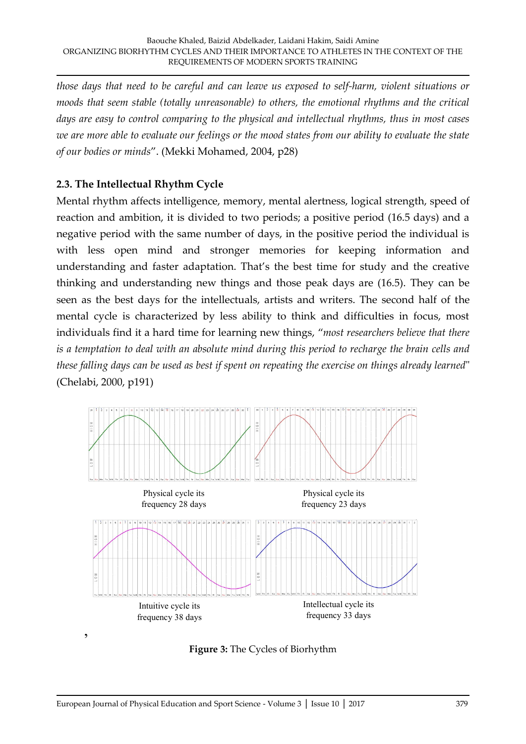*those days that need to be careful and can leave us exposed to self-harm, violent situations or moods that seem stable (totally unreasonable) to others, the emotional rhythms and the critical days are easy to control comparing to the physical and intellectual rhythms, thus in most cases we are more able to evaluate our feelings or the mood states from our ability to evaluate the state of our bodies or minds*". (Mekki Mohamed, 2004, p28)

## **2.3. The Intellectual Rhythm Cycle**

Mental rhythm affects intelligence, memory, mental alertness, logical strength, speed of reaction and ambition, it is divided to two periods; a positive period (16.5 days) and a negative period with the same number of days, in the positive period the individual is with less open mind and stronger memories for keeping information and understanding and faster adaptation. That's the best time for study and the creative thinking and understanding new things and those peak days are (16.5). They can be seen as the best days for the intellectuals, artists and writers. The second half of the mental cycle is characterized by less ability to think and difficulties in focus, most individuals find it a hard time for learning new things, "*most researchers believe that there is a temptation to deal with an absolute mind during this period to recharge the brain cells and these falling days can be used as best if spent on repeating the exercise on things already learned*" (Chelabi, 2000, p191)



**Figure 3:** The Cycles of Biorhythm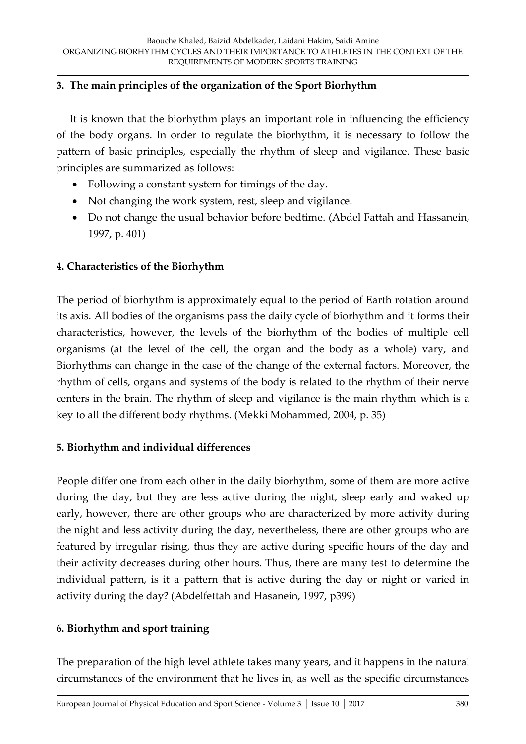## **3. The main principles of the organization of the Sport Biorhythm**

 It is known that the biorhythm plays an important role in influencing the efficiency of the body organs. In order to regulate the biorhythm, it is necessary to follow the pattern of basic principles, especially the rhythm of sleep and vigilance. These basic principles are summarized as follows:

- Following a constant system for timings of the day.
- Not changing the work system, rest, sleep and vigilance.
- Do not change the usual behavior before bedtime. (Abdel Fattah and Hassanein, 1997, p. 401)

## **4. Characteristics of the Biorhythm**

The period of biorhythm is approximately equal to the period of Earth rotation around its axis. All bodies of the organisms pass the daily cycle of biorhythm and it forms their characteristics, however, the levels of the biorhythm of the bodies of multiple cell organisms (at the level of the cell, the organ and the body as a whole) vary, and Biorhythms can change in the case of the change of the external factors. Moreover, the rhythm of cells, organs and systems of the body is related to the rhythm of their nerve centers in the brain. The rhythm of sleep and vigilance is the main rhythm which is a key to all the different body rhythms. (Mekki Mohammed, 2004, p. 35)

# **5. Biorhythm and individual differences**

People differ one from each other in the daily biorhythm, some of them are more active during the day, but they are less active during the night, sleep early and waked up early, however, there are other groups who are characterized by more activity during the night and less activity during the day, nevertheless, there are other groups who are featured by irregular rising, thus they are active during specific hours of the day and their activity decreases during other hours. Thus, there are many test to determine the individual pattern, is it a pattern that is active during the day or night or varied in activity during the day? (Abdelfettah and Hasanein, 1997, p399)

# **6. Biorhythm and sport training**

The preparation of the high level athlete takes many years, and it happens in the natural circumstances of the environment that he lives in, as well as the specific circumstances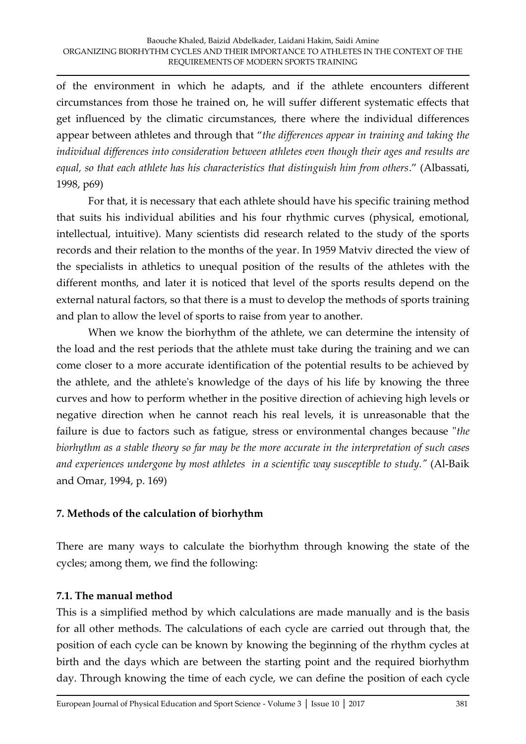of the environment in which he adapts, and if the athlete encounters different circumstances from those he trained on, he will suffer different systematic effects that get influenced by the climatic circumstances, there where the individual differences appear between athletes and through that "*the differences appear in training and taking the individual differences into consideration between athletes even though their ages and results are equal, so that each athlete has his characteristics that distinguish him from others*." (Albassati, 1998, p69)

For that, it is necessary that each athlete should have his specific training method that suits his individual abilities and his four rhythmic curves (physical, emotional, intellectual, intuitive). Many scientists did research related to the study of the sports records and their relation to the months of the year. In 1959 Matviv directed the view of the specialists in athletics to unequal position of the results of the athletes with the different months, and later it is noticed that level of the sports results depend on the external natural factors, so that there is a must to develop the methods of sports training and plan to allow the level of sports to raise from year to another.

 When we know the biorhythm of the athlete, we can determine the intensity of the load and the rest periods that the athlete must take during the training and we can come closer to a more accurate identification of the potential results to be achieved by the athlete, and the athlete's knowledge of the days of his life by knowing the three curves and how to perform whether in the positive direction of achieving high levels or negative direction when he cannot reach his real levels, it is unreasonable that the failure is due to factors such as fatigue, stress or environmental changes because "*the biorhythm as a stable theory so far may be the more accurate in the interpretation of such cases and experiences undergone by most athletes in a scientific way susceptible to study."* (Al-Baik and Omar, 1994, p. 169)

## **7. Methods of the calculation of biorhythm**

There are many ways to calculate the biorhythm through knowing the state of the cycles; among them, we find the following:

## **7.1. The manual method**

This is a simplified method by which calculations are made manually and is the basis for all other methods. The calculations of each cycle are carried out through that, the position of each cycle can be known by knowing the beginning of the rhythm cycles at birth and the days which are between the starting point and the required biorhythm day. Through knowing the time of each cycle, we can define the position of each cycle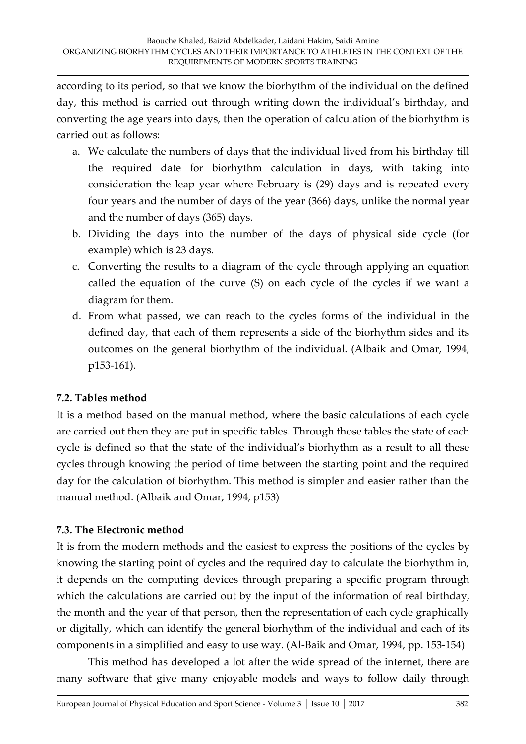according to its period, so that we know the biorhythm of the individual on the defined day, this method is carried out through writing down the individual's birthday, and converting the age years into days, then the operation of calculation of the biorhythm is carried out as follows:

- a. We calculate the numbers of days that the individual lived from his birthday till the required date for biorhythm calculation in days, with taking into consideration the leap year where February is (29) days and is repeated every four years and the number of days of the year (366) days, unlike the normal year and the number of days (365) days.
- b. Dividing the days into the number of the days of physical side cycle (for example) which is 23 days.
- c. Converting the results to a diagram of the cycle through applying an equation called the equation of the curve (S) on each cycle of the cycles if we want a diagram for them.
- d. From what passed, we can reach to the cycles forms of the individual in the defined day, that each of them represents a side of the biorhythm sides and its outcomes on the general biorhythm of the individual. (Albaik and Omar, 1994, p153-161).

# **7.2. Tables method**

It is a method based on the manual method, where the basic calculations of each cycle are carried out then they are put in specific tables. Through those tables the state of each cycle is defined so that the state of the individual's biorhythm as a result to all these cycles through knowing the period of time between the starting point and the required day for the calculation of biorhythm. This method is simpler and easier rather than the manual method. (Albaik and Omar, 1994, p153)

# **7.3. The Electronic method**

It is from the modern methods and the easiest to express the positions of the cycles by knowing the starting point of cycles and the required day to calculate the biorhythm in, it depends on the computing devices through preparing a specific program through which the calculations are carried out by the input of the information of real birthday, the month and the year of that person, then the representation of each cycle graphically or digitally, which can identify the general biorhythm of the individual and each of its components in a simplified and easy to use way. (Al-Baik and Omar, 1994, pp. 153-154)

 This method has developed a lot after the wide spread of the internet, there are many software that give many enjoyable models and ways to follow daily through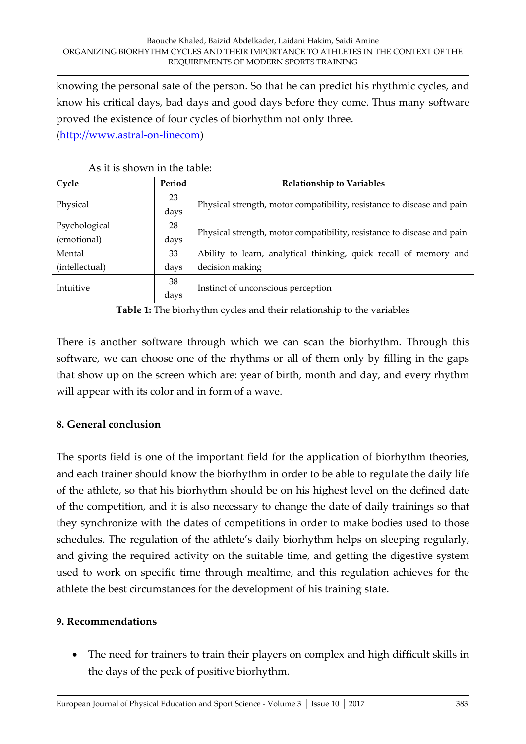knowing the personal sate of the person. So that he can predict his rhythmic cycles, and know his critical days, bad days and good days before they come. Thus many software proved the existence of four cycles of biorhythm not only three.

[\(http://www.astral-on-linecom\)](http://www.astral-on-linecom/)

| Cycle          | Period | <b>Relationship to Variables</b>                                       |
|----------------|--------|------------------------------------------------------------------------|
| Physical       | 23     | Physical strength, motor compatibility, resistance to disease and pain |
|                | days   |                                                                        |
| Psychological  | 28     | Physical strength, motor compatibility, resistance to disease and pain |
| (emotional)    | days   |                                                                        |
| Mental         | 33     | Ability to learn, analytical thinking, quick recall of memory and      |
| (intellectual) | days   | decision making                                                        |
| Intuitive      | 38     | Instinct of unconscious perception                                     |
|                | days   |                                                                        |

| As it is shown in the table: |
|------------------------------|
|------------------------------|

**Table 1:** The biorhythm cycles and their relationship to the variables

There is another software through which we can scan the biorhythm. Through this software, we can choose one of the rhythms or all of them only by filling in the gaps that show up on the screen which are: year of birth, month and day, and every rhythm will appear with its color and in form of a wave.

## **8. General conclusion**

The sports field is one of the important field for the application of biorhythm theories, and each trainer should know the biorhythm in order to be able to regulate the daily life of the athlete, so that his biorhythm should be on his highest level on the defined date of the competition, and it is also necessary to change the date of daily trainings so that they synchronize with the dates of competitions in order to make bodies used to those schedules. The regulation of the athlete's daily biorhythm helps on sleeping regularly, and giving the required activity on the suitable time, and getting the digestive system used to work on specific time through mealtime, and this regulation achieves for the athlete the best circumstances for the development of his training state.

## **9. Recommendations**

 The need for trainers to train their players on complex and high difficult skills in the days of the peak of positive biorhythm.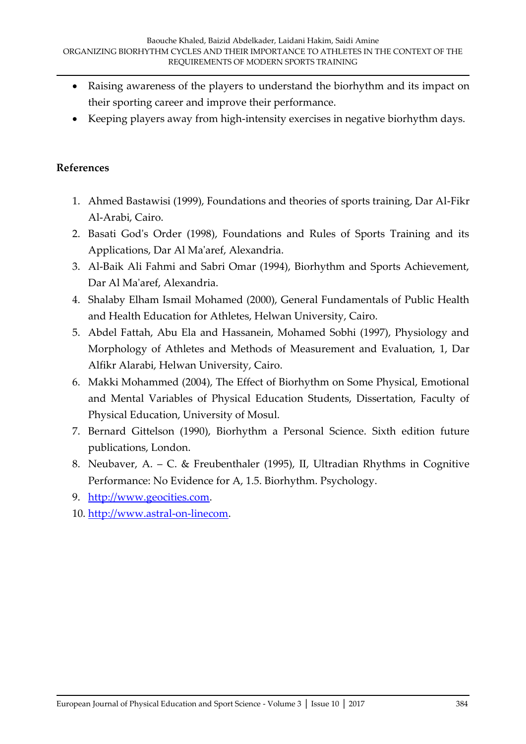- Raising awareness of the players to understand the biorhythm and its impact on their sporting career and improve their performance.
- Keeping players away from high-intensity exercises in negative biorhythm days.

#### **References**

- 1. Ahmed Bastawisi (1999), Foundations and theories of sports training, Dar Al-Fikr Al-Arabi, Cairo.
- 2. Basati God's Order (1998), Foundations and Rules of Sports Training and its Applications, Dar Al Ma'aref, Alexandria.
- 3. Al-Baik Ali Fahmi and Sabri Omar (1994), Biorhythm and Sports Achievement, Dar Al Ma'aref, Alexandria.
- 4. Shalaby Elham Ismail Mohamed (2000), General Fundamentals of Public Health and Health Education for Athletes, Helwan University, Cairo.
- 5. Abdel Fattah, Abu Ela and Hassanein, Mohamed Sobhi (1997), Physiology and Morphology of Athletes and Methods of Measurement and Evaluation, 1, Dar Alfikr Alarabi, Helwan University, Cairo.
- 6. Makki Mohammed (2004), The Effect of Biorhythm on Some Physical, Emotional and Mental Variables of Physical Education Students, Dissertation, Faculty of Physical Education, University of Mosul.
- 7. Bernard Gittelson (1990), Biorhythm a Personal Science. Sixth edition future publications, London.
- 8. Neubaver, A. C. & Freubenthaler (1995), II, Ultradian Rhythms in Cognitive Performance: No Evidence for A, 1.5. Biorhythm. Psychology.
- 9. [http://www.geocities.com.](http://www.geocities.com/)
- 10. [http://www.astral-on-linecom.](http://www.astral-on-linecom/)